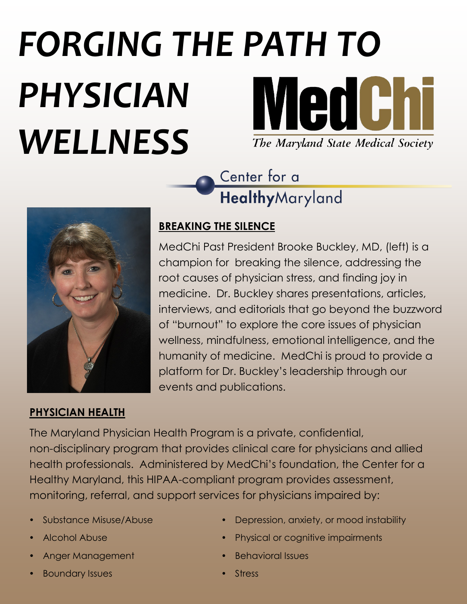# *FORGING THE PATH TO* **MedChi** *PHYSICIAN WELLNESS* The Maryland State Medical Society

Center for a HealthyMaryland



### **BREAKING THE SILENCE**

MedChi Past President Brooke Buckley, MD, (left) is a champion for breaking the silence, addressing the root causes of physician stress, and finding joy in medicine. Dr. Buckley shares presentations, articles, interviews, and editorials that go beyond the buzzword of "burnout" to explore the core issues of physician wellness, mindfulness, emotional intelligence, and the humanity of medicine. MedChi is proud to provide a platform for Dr. Buckley's leadership through our events and publications.

### **PHYSICIAN HEALTH**

The Maryland Physician Health Program is a private, confidential, non-disciplinary program that provides clinical care for physicians and allied health professionals. Administered by MedChi's foundation, the Center for a Healthy Maryland, this HIPAA-compliant program provides assessment, monitoring, referral, and support services for physicians impaired by:

- 
- 
- Anger Management **Behavioral Issues**
- Boundary Issues Stress And Stress Assessment Research And Stress
- Substance Misuse/Abuse **Communist Communist Communist Communisty**, or mood instability
- Alcohol Abuse **Physical or cognitive impairments** 
	-
	-